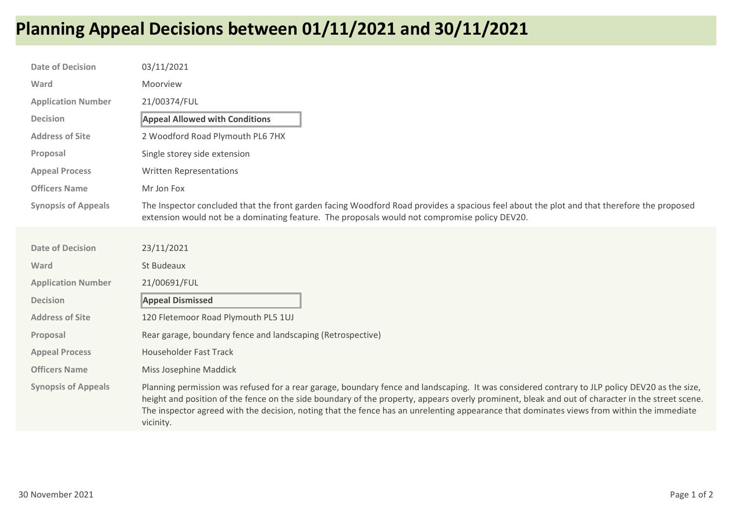## Planning Appeal Decisions between 01/11/2021 and 30/11/2021

| <b>Date of Decision</b>    | 03/11/2021                                                                                                                                                                                                                                                                                                                                                                                                                                                    |
|----------------------------|---------------------------------------------------------------------------------------------------------------------------------------------------------------------------------------------------------------------------------------------------------------------------------------------------------------------------------------------------------------------------------------------------------------------------------------------------------------|
| Ward                       | Moorview                                                                                                                                                                                                                                                                                                                                                                                                                                                      |
| <b>Application Number</b>  | 21/00374/FUL                                                                                                                                                                                                                                                                                                                                                                                                                                                  |
| <b>Decision</b>            | <b>Appeal Allowed with Conditions</b>                                                                                                                                                                                                                                                                                                                                                                                                                         |
| <b>Address of Site</b>     | 2 Woodford Road Plymouth PL6 7HX                                                                                                                                                                                                                                                                                                                                                                                                                              |
| Proposal                   | Single storey side extension                                                                                                                                                                                                                                                                                                                                                                                                                                  |
| <b>Appeal Process</b>      | Written Representations                                                                                                                                                                                                                                                                                                                                                                                                                                       |
| <b>Officers Name</b>       | Mr Jon Fox                                                                                                                                                                                                                                                                                                                                                                                                                                                    |
| <b>Synopsis of Appeals</b> | The Inspector concluded that the front garden facing Woodford Road provides a spacious feel about the plot and that therefore the proposed<br>extension would not be a dominating feature. The proposals would not compromise policy DEV20.                                                                                                                                                                                                                   |
|                            |                                                                                                                                                                                                                                                                                                                                                                                                                                                               |
| <b>Date of Decision</b>    | 23/11/2021                                                                                                                                                                                                                                                                                                                                                                                                                                                    |
| Ward                       | St Budeaux                                                                                                                                                                                                                                                                                                                                                                                                                                                    |
| <b>Application Number</b>  | 21/00691/FUL                                                                                                                                                                                                                                                                                                                                                                                                                                                  |
| <b>Decision</b>            | <b>Appeal Dismissed</b>                                                                                                                                                                                                                                                                                                                                                                                                                                       |
| <b>Address of Site</b>     | 120 Fletemoor Road Plymouth PL5 1UJ                                                                                                                                                                                                                                                                                                                                                                                                                           |
| Proposal                   | Rear garage, boundary fence and landscaping (Retrospective)                                                                                                                                                                                                                                                                                                                                                                                                   |
| <b>Appeal Process</b>      | <b>Householder Fast Track</b>                                                                                                                                                                                                                                                                                                                                                                                                                                 |
| <b>Officers Name</b>       | Miss Josephine Maddick                                                                                                                                                                                                                                                                                                                                                                                                                                        |
| <b>Synopsis of Appeals</b> | Planning permission was refused for a rear garage, boundary fence and landscaping. It was considered contrary to JLP policy DEV20 as the size,<br>height and position of the fence on the side boundary of the property, appears overly prominent, bleak and out of character in the street scene.<br>The inspector agreed with the decision, noting that the fence has an unrelenting appearance that dominates views from within the immediate<br>vicinity. |